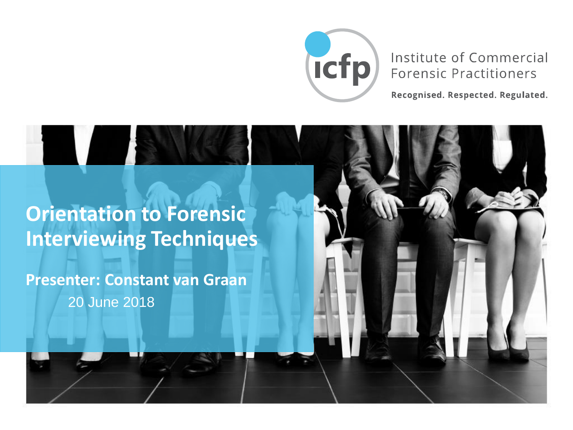

#### Institute of Commercial **Forensic Practitioners**

Recognised. Respected. Regulated.

#### **Orientation to Forensic Interviewing Techniques**

**Presenter: Constant van Graan** 20 June 2018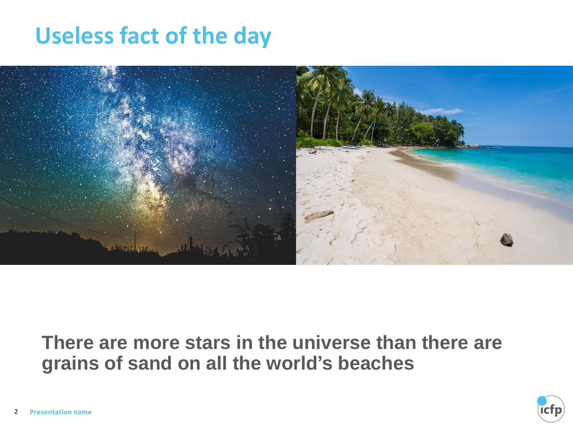## **Useless fact of the day**



#### **There are more stars in the universe than there are grains of sand on all the world's beaches**

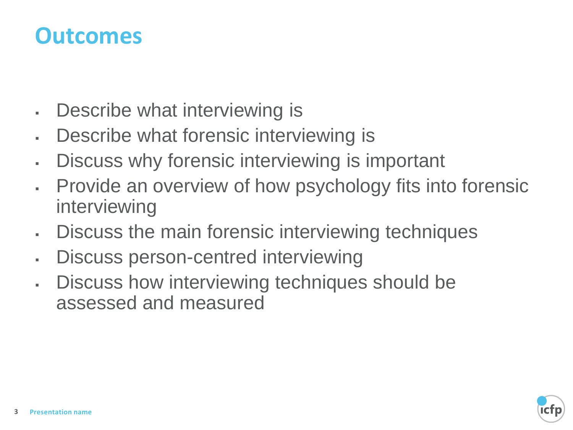#### **Outcomes**

- Describe what interviewing is
- Describe what forensic interviewing is
- **EXEDE EXECTS:** Discuss why forensic interviewing is important
- . Provide an overview of how psychology fits into forensic interviewing
- Discuss the main forensic interviewing techniques
- . Discuss person-centred interviewing
- Discuss how interviewing techniques should be assessed and measured

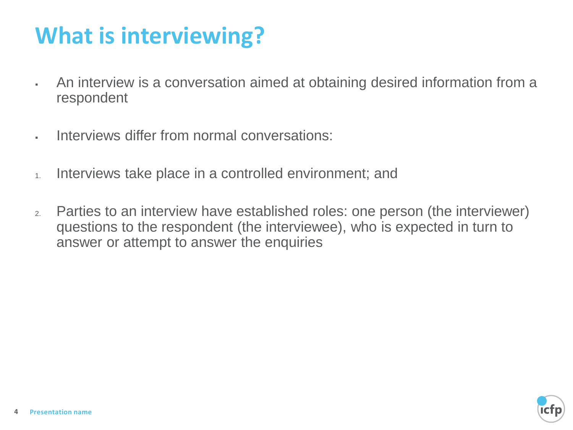## **What is interviewing?**

- An interview is a conversation aimed at obtaining desired information from a respondent
- Interviews differ from normal conversations:
- 1. Interviews take place in a controlled environment; and
- 2. Parties to an interview have established roles: one person (the interviewer) questions to the respondent (the interviewee), who is expected in turn to answer or attempt to answer the enquiries

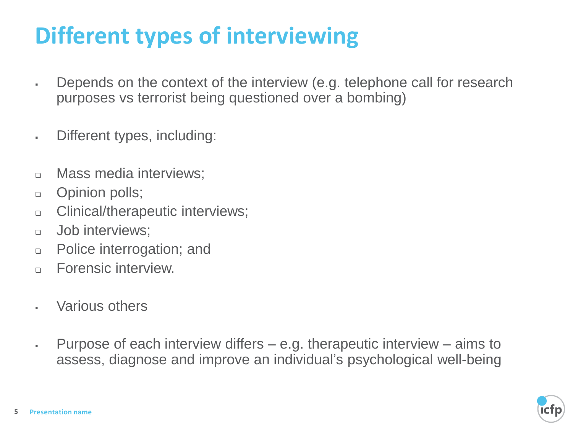## **Different types of interviewing**

- **EXE** Depends on the context of the interview (e.g. telephone call for research purposes vs terrorist being questioned over a bombing)
- Different types, including:
- ❑ Mass media interviews;
- ❑ Opinion polls;
- ❑ Clinical/therapeutic interviews;
- ❑ Job interviews;
- ❑ Police interrogation; and
- □ Forensic interview.
- Various others
- $\blacksquare$  Purpose of each interview differs  $-$  e.g. therapeutic interview  $-$  aims to assess, diagnose and improve an individual's psychological well-being

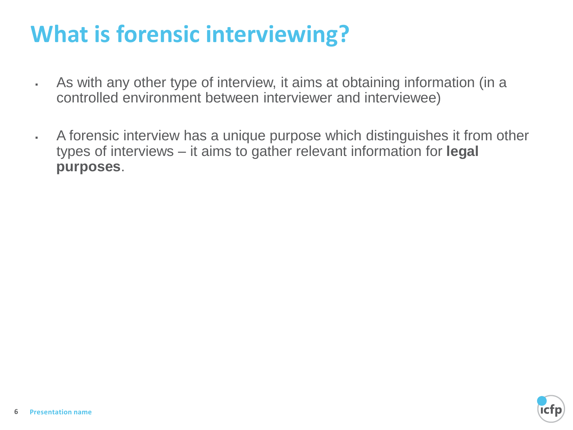## **What is forensic interviewing?**

- **EXE** As with any other type of interview, it aims at obtaining information (in a controlled environment between interviewer and interviewee)
- **A forensic interview has a unique purpose which distinguishes it from other** types of interviews – it aims to gather relevant information for **legal purposes**.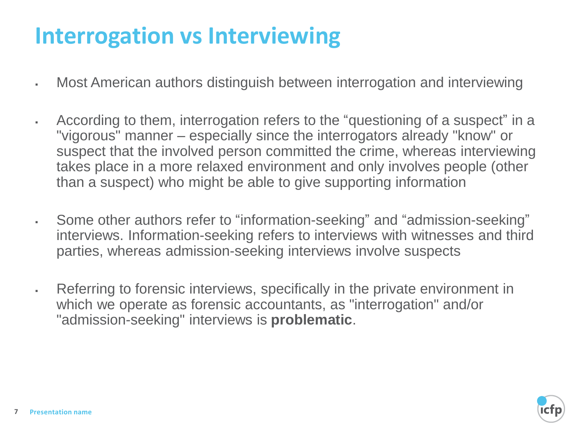## **Interrogation vs Interviewing**

- **Most American authors distinguish between interrogation and interviewing**
- According to them, interrogation refers to the "questioning of a suspect" in a "vigorous" manner – especially since the interrogators already "know" or suspect that the involved person committed the crime, whereas interviewing takes place in a more relaxed environment and only involves people (other than a suspect) who might be able to give supporting information
- Some other authors refer to "information-seeking" and "admission-seeking" interviews. Information-seeking refers to interviews with witnesses and third parties, whereas admission-seeking interviews involve suspects
- Referring to forensic interviews, specifically in the private environment in which we operate as forensic accountants, as "interrogation" and/or "admission-seeking" interviews is **problematic**.

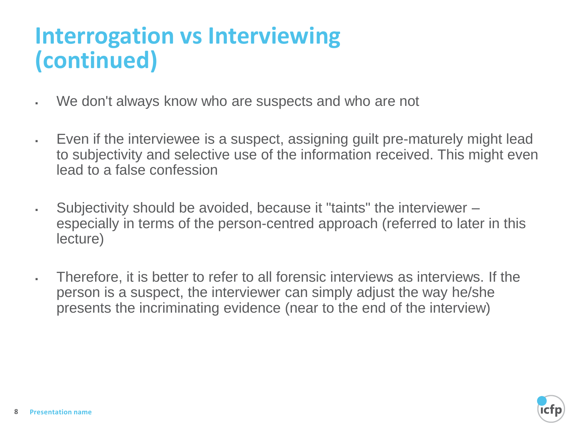## **Interrogation vs Interviewing (continued)**

- We don't always know who are suspects and who are not
- Even if the interviewee is a suspect, assigning guilt pre-maturely might lead to subjectivity and selective use of the information received. This might even lead to a false confession
- Subjectivity should be avoided, because it "taints" the interviewer especially in terms of the person-centred approach (referred to later in this lecture)
- Therefore, it is better to refer to all forensic interviews as interviews. If the person is a suspect, the interviewer can simply adjust the way he/she presents the incriminating evidence (near to the end of the interview)

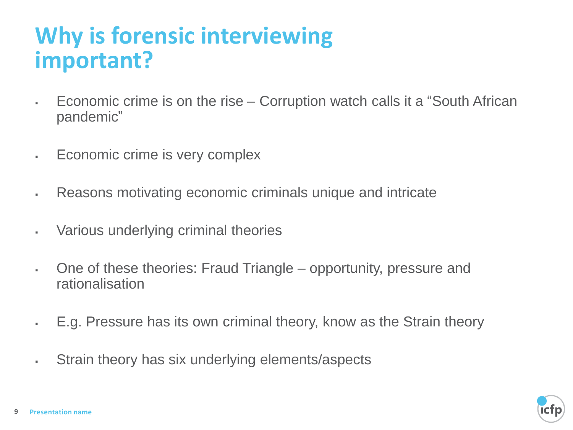## **Why is forensic interviewing important?**

- Economic crime is on the rise Corruption watch calls it a "South African pandemic"
- **Economic crime is very complex**
- . Reasons motivating economic criminals unique and intricate
- Various underlying criminal theories
- One of these theories: Fraud Triangle opportunity, pressure and rationalisation
- E.g. Pressure has its own criminal theory, know as the Strain theory
- Strain theory has six underlying elements/aspects

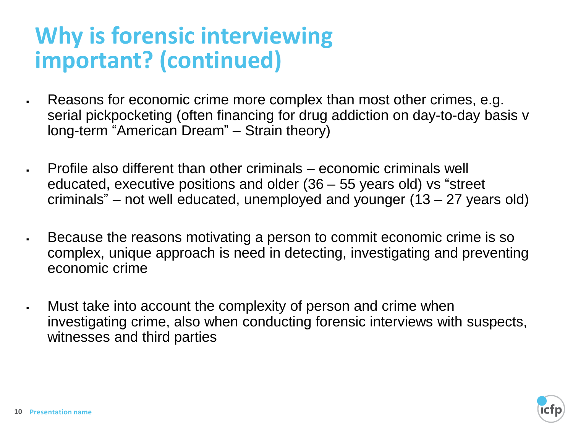## **Why is forensic interviewing important? (continued)**

- . Reasons for economic crime more complex than most other crimes, e.g. serial pickpocketing (often financing for drug addiction on day-to-day basis v long-term "American Dream" – Strain theory)
- Profile also different than other criminals economic criminals well educated, executive positions and older (36 – 55 years old) vs "street criminals" – not well educated, unemployed and younger (13 – 27 years old)
- Because the reasons motivating a person to commit economic crime is so complex, unique approach is need in detecting, investigating and preventing economic crime
- I. Must take into account the complexity of person and crime when investigating crime, also when conducting forensic interviews with suspects, witnesses and third parties

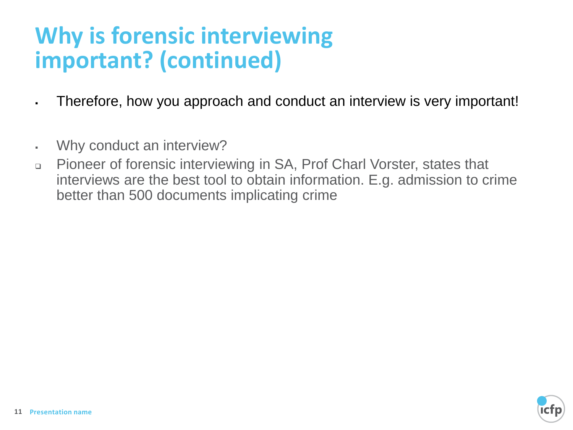## **Why is forensic interviewing important? (continued)**

- Therefore, how you approach and conduct an interview is very important!
- Why conduct an interview?
- ❑ Pioneer of forensic interviewing in SA, Prof Charl Vorster, states that interviews are the best tool to obtain information. E.g. admission to crime better than 500 documents implicating crime

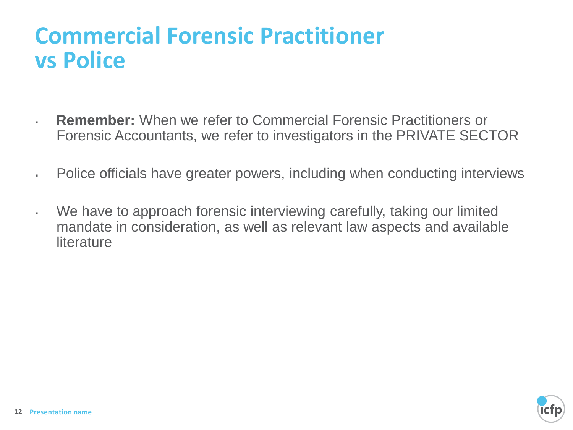## **Commercial Forensic Practitioner vs Police**

- **Remember:** When we refer to Commercial Forensic Practitioners or Forensic Accountants, we refer to investigators in the PRIVATE SECTOR
- **EXECT** Police officials have greater powers, including when conducting interviews
- We have to approach forensic interviewing carefully, taking our limited mandate in consideration, as well as relevant law aspects and available **literature**

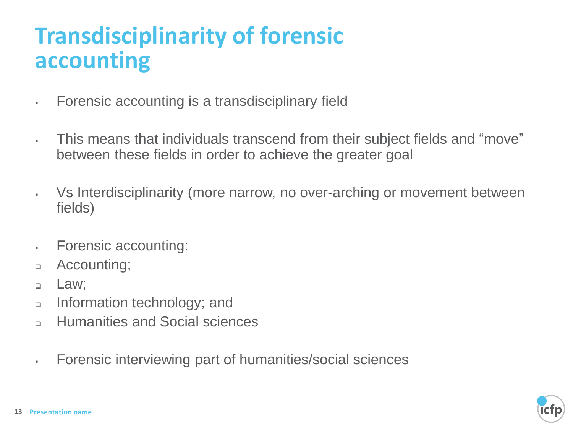## **Transdisciplinarity of forensic accounting**

- Forensic accounting is a transdisciplinary field
- This means that individuals transcend from their subject fields and "move" between these fields in order to achieve the greater goal
- Vs Interdisciplinarity (more narrow, no over-arching or movement between fields)
- Forensic accounting:
- ❑ Accounting;
- ❑ Law;
- ❑ Information technology; and
- ❑ Humanities and Social sciences
- Forensic interviewing part of humanities/social sciences

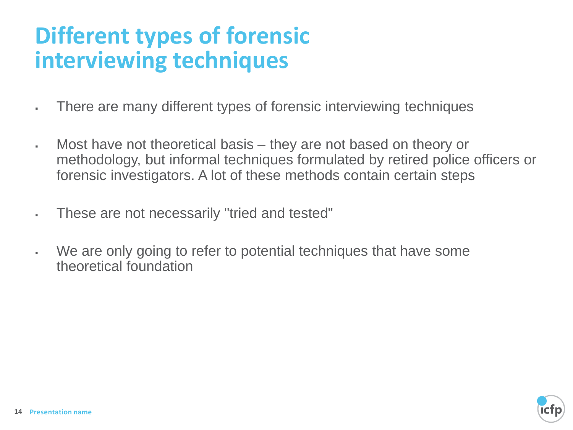## **Different types of forensic interviewing techniques**

- There are many different types of forensic interviewing techniques
- Most have not theoretical basis they are not based on theory or methodology, but informal techniques formulated by retired police officers or forensic investigators. A lot of these methods contain certain steps
- These are not necessarily "tried and tested"
- We are only going to refer to potential techniques that have some theoretical foundation

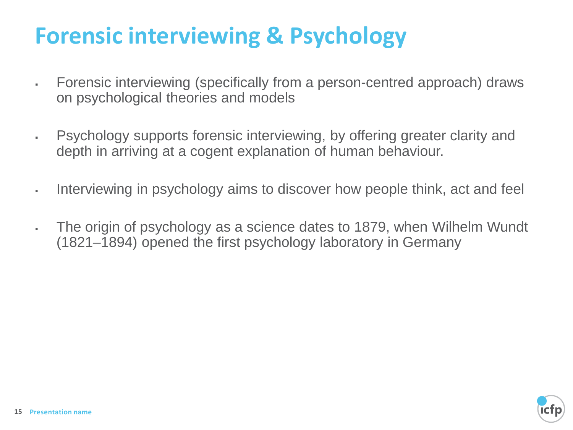## **Forensic interviewing & Psychology**

- Forensic interviewing (specifically from a person-centred approach) draws on psychological theories and models
- **EXECT** Psychology supports forensic interviewing, by offering greater clarity and depth in arriving at a cogent explanation of human behaviour.
- If Interviewing in psychology aims to discover how people think, act and feel
- The origin of psychology as a science dates to 1879, when Wilhelm Wundt (1821–1894) opened the first psychology laboratory in Germany

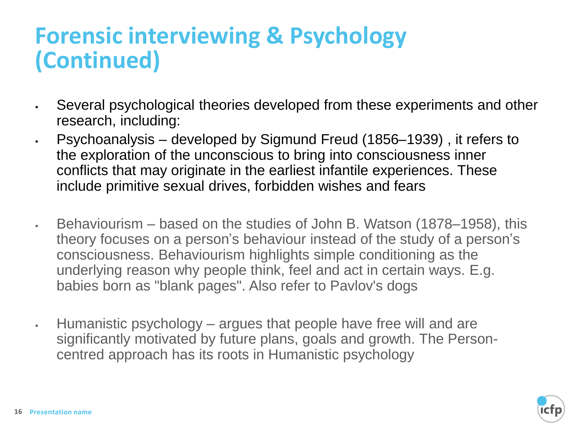## **Forensic interviewing & Psychology (Continued)**

- **EXEL Several psychological theories developed from these experiments and other** research, including:
- Psychoanalysis developed by Sigmund Freud (1856–1939) , it refers to the exploration of the unconscious to bring into consciousness inner conflicts that may originate in the earliest infantile experiences. These include primitive sexual drives, forbidden wishes and fears
- Behaviourism based on the studies of John B. Watson (1878–1958), this theory focuses on a person's behaviour instead of the study of a person's consciousness. Behaviourism highlights simple conditioning as the underlying reason why people think, feel and act in certain ways. E.g. babies born as "blank pages". Also refer to Pavlov's dogs
- Humanistic psychology argues that people have free will and are significantly motivated by future plans, goals and growth. The Personcentred approach has its roots in Humanistic psychology

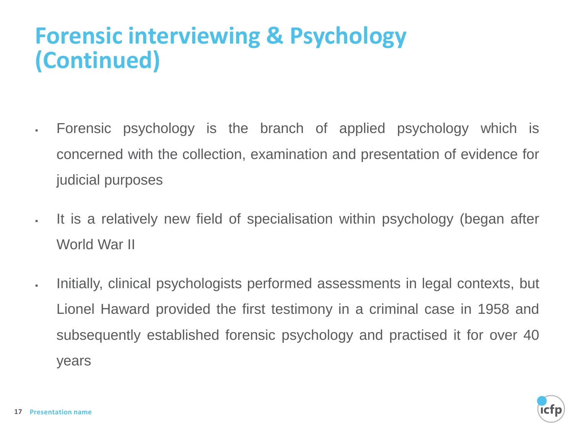## **Forensic interviewing & Psychology (Continued)**

- Forensic psychology is the branch of applied psychology which is concerned with the collection, examination and presentation of evidence for judicial purposes
- It is a relatively new field of specialisation within psychology (began after World War II
- Initially, clinical psychologists performed assessments in legal contexts, but Lionel Haward provided the first testimony in a criminal case in 1958 and subsequently established forensic psychology and practised it for over 40 years

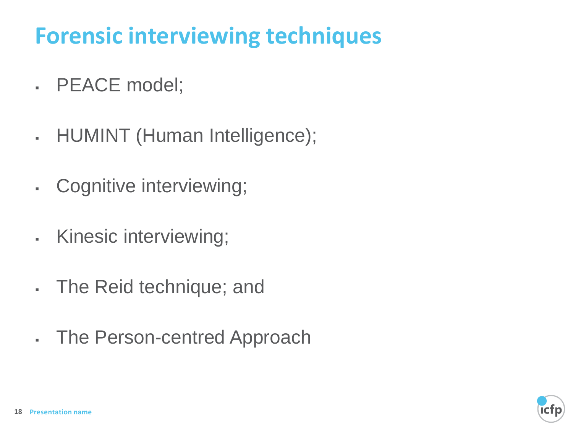## **Forensic interviewing techniques**

- . PEACE model;
- . HUMINT (Human Intelligence);
- Cognitive interviewing;
- . Kinesic interviewing;
- The Reid technique; and
- The Person-centred Approach

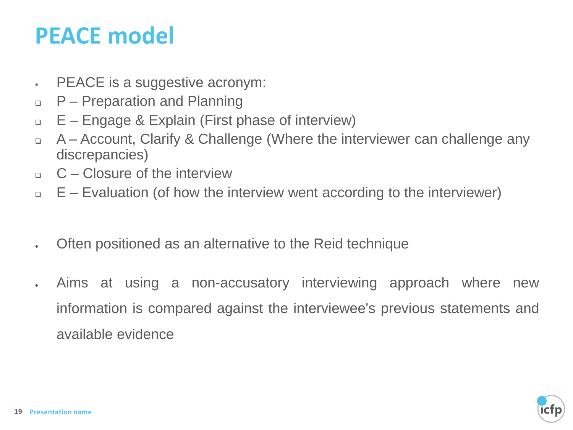## **PEACE model**

- **EXACE** is a suggestive acronym:
- ❑ P Preparation and Planning
- ❑ E Engage & Explain (First phase of interview)
- ❑ A Account, Clarify & Challenge (Where the interviewer can challenge any discrepancies)
- $G -$ Closure of the interview
- ❑ E Evaluation (of how the interview went according to the interviewer)
- Often positioned as an alternative to the Reid technique
- Aims at using a non-accusatory interviewing approach where new information is compared against the interviewee's previous statements and available evidence

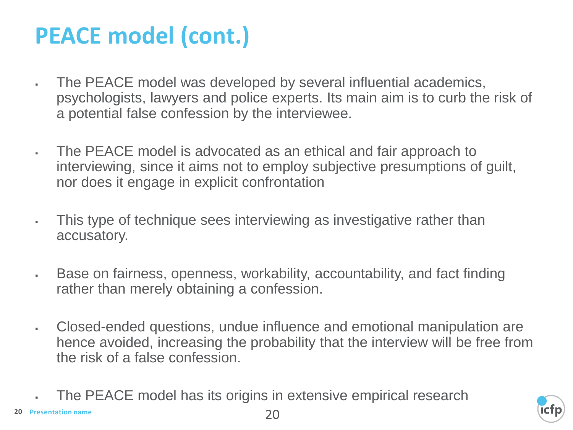## **PEACE model (cont.)**

- The PEACE model was developed by several influential academics, psychologists, lawyers and police experts. Its main aim is to curb the risk of a potential false confession by the interviewee.
- . The PEACE model is advocated as an ethical and fair approach to interviewing, since it aims not to employ subjective presumptions of guilt, nor does it engage in explicit confrontation
- . This type of technique sees interviewing as investigative rather than accusatory.
- **Example 3** Base on fairness, openness, workability, accountability, and fact finding rather than merely obtaining a confession.
- Closed-ended questions, undue influence and emotional manipulation are hence avoided, increasing the probability that the interview will be free from the risk of a false confession.
	- The PEACE model has its origins in extensive empirical research

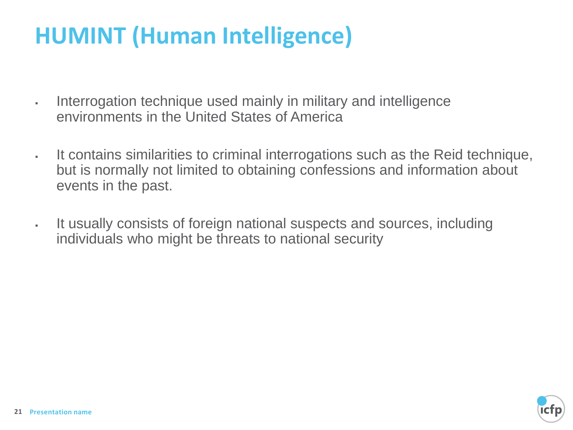## **HUMINT (Human Intelligence)**

- Interrogation technique used mainly in military and intelligence environments in the United States of America
- It contains similarities to criminal interrogations such as the Reid technique, but is normally not limited to obtaining confessions and information about events in the past.
- It usually consists of foreign national suspects and sources, including individuals who might be threats to national security

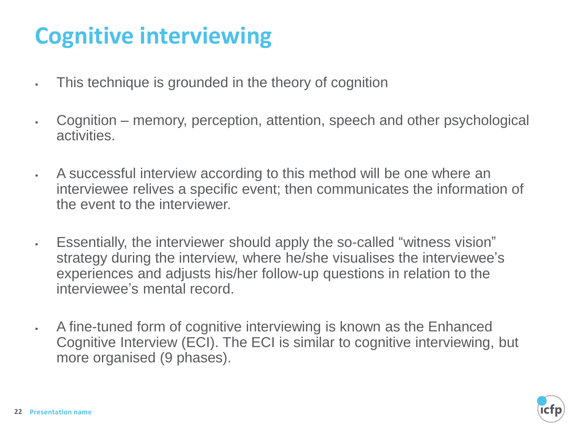## **Cognitive interviewing**

- **This technique is grounded in the theory of cognition**
- Cognition memory, perception, attention, speech and other psychological activities.
- A successful interview according to this method will be one where an interviewee relives a specific event; then communicates the information of the event to the interviewer.
- Essentially, the interviewer should apply the so-called "witness vision" strategy during the interview, where he/she visualises the interviewee's experiences and adjusts his/her follow-up questions in relation to the interviewee's mental record.
- **EXEL A fine-tuned form of cognitive interviewing is known as the Enhanced** Cognitive Interview (ECI). The ECI is similar to cognitive interviewing, but more organised (9 phases).

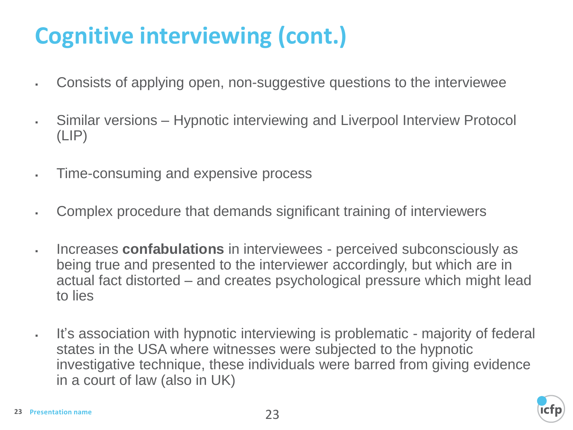## **Cognitive interviewing (cont.)**

- Consists of applying open, non-suggestive questions to the interviewee
- **EXECT** Similar versions Hypnotic interviewing and Liverpool Interview Protocol (LIP)
- Time-consuming and expensive process
- Complex procedure that demands significant training of interviewers
- Increases **confabulations** in interviewees perceived subconsciously as being true and presented to the interviewer accordingly, but which are in actual fact distorted – and creates psychological pressure which might lead to lies
- It's association with hypnotic interviewing is problematic majority of federal states in the USA where witnesses were subjected to the hypnotic investigative technique, these individuals were barred from giving evidence in a court of law (also in UK)

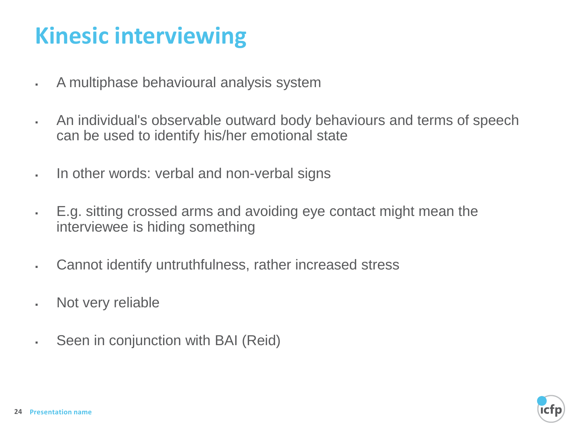## **Kinesic interviewing**

- A multiphase behavioural analysis system
- An individual's observable outward body behaviours and terms of speech can be used to identify his/her emotional state
- . In other words: verbal and non-verbal signs
- E.g. sitting crossed arms and avoiding eye contact might mean the interviewee is hiding something
- . Cannot identify untruthfulness, rather increased stress
- Not very reliable
- **EXECT:** Seen in conjunction with BAI (Reid)

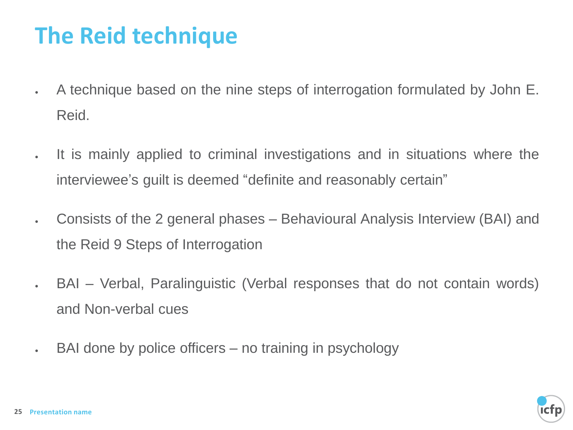## **The Reid technique**

- A technique based on the nine steps of interrogation formulated by John E. Reid.
- It is mainly applied to criminal investigations and in situations where the interviewee's guilt is deemed "definite and reasonably certain"
- Consists of the 2 general phases Behavioural Analysis Interview (BAI) and the Reid 9 Steps of Interrogation
- BAI Verbal, Paralinguistic (Verbal responses that do not contain words) and Non-verbal cues
- BAI done by police officers no training in psychology

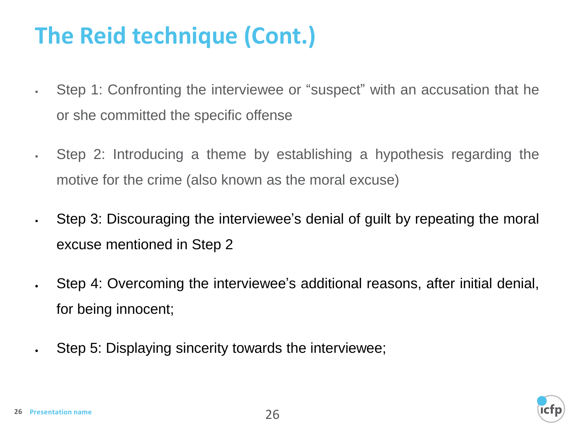## **The Reid technique (Cont.)**

- Step 1: Confronting the interviewee or "suspect" with an accusation that he or she committed the specific offense
- Step 2: Introducing a theme by establishing a hypothesis regarding the motive for the crime (also known as the moral excuse)
- Step 3: Discouraging the interviewee's denial of guilt by repeating the moral excuse mentioned in Step 2
- Step 4: Overcoming the interviewee's additional reasons, after initial denial, for being innocent;
- Step 5: Displaying sincerity towards the interviewee;

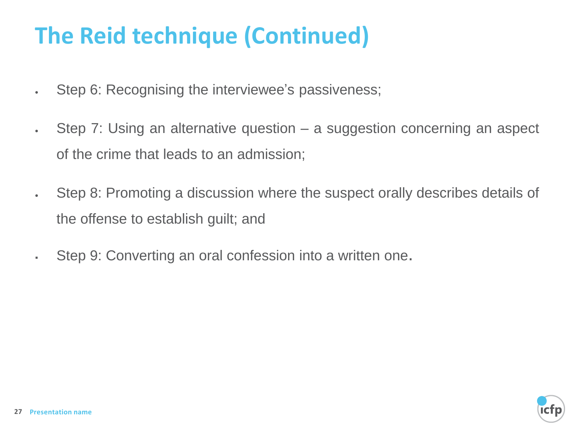## **The Reid technique (Continued)**

- Step 6: Recognising the interviewee's passiveness;
- Step 7: Using an alternative question a suggestion concerning an aspect of the crime that leads to an admission;
- Step 8: Promoting a discussion where the suspect orally describes details of the offense to establish guilt; and
- . Step 9: Converting an oral confession into a written one.

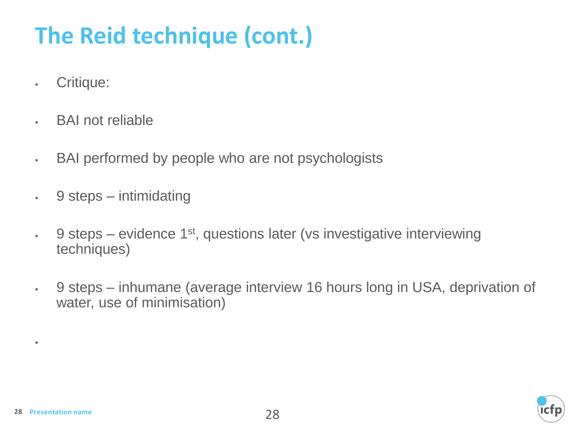# **The Reid technique (cont.)**

- Critique:
- . BAI not reliable
- BAI performed by people who are not psychologists
- $\cdot$  9 steps intimidating
- $\cdot$  9 steps evidence 1<sup>st</sup>, questions later (vs investigative interviewing techniques)
- 9 steps inhumane (average interview 16 hours long in USA, deprivation of water, use of minimisation)



▪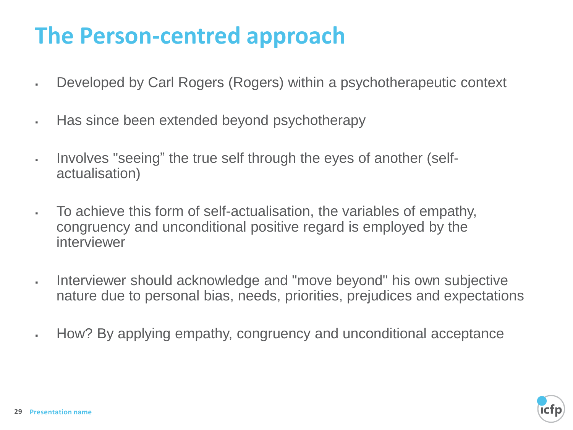## **The Person-centred approach**

- **EXECT** Developed by Carl Rogers (Rogers) within a psychotherapeutic context
- Has since been extended beyond psychotherapy
- Involves "seeing" the true self through the eyes of another (selfactualisation)
- To achieve this form of self-actualisation, the variables of empathy, congruency and unconditional positive regard is employed by the interviewer
- Interviewer should acknowledge and "move beyond" his own subjective nature due to personal bias, needs, priorities, prejudices and expectations
- How? By applying empathy, congruency and unconditional acceptance

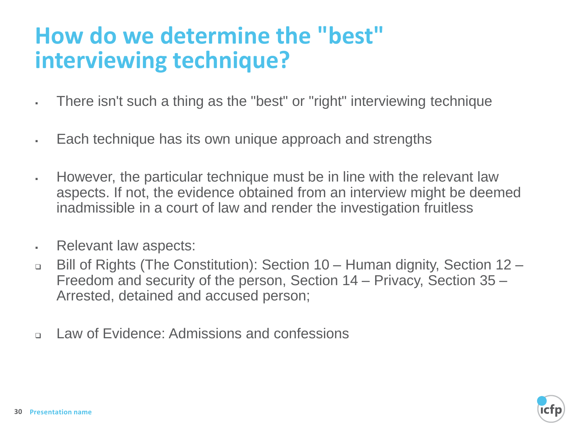## **How do we determine the "best" interviewing technique?**

- There isn't such a thing as the "best" or "right" interviewing technique
- Each technique has its own unique approach and strengths
- However, the particular technique must be in line with the relevant law aspects. If not, the evidence obtained from an interview might be deemed inadmissible in a court of law and render the investigation fruitless
- . Relevant law aspects:
- ❑ Bill of Rights (The Constitution): Section 10 Human dignity, Section 12 Freedom and security of the person, Section 14 – Privacy, Section 35 – Arrested, detained and accused person;
- ❑ Law of Evidence: Admissions and confessions

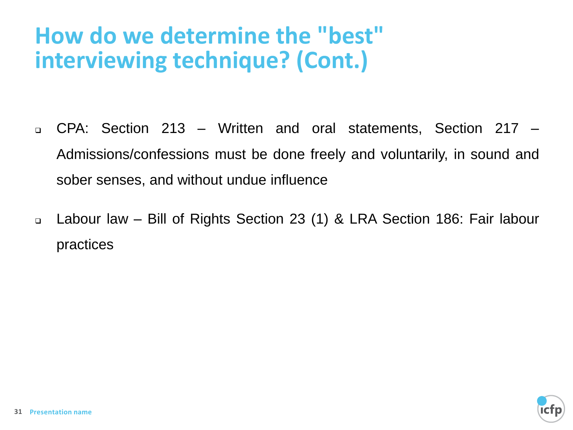## **How do we determine the "best" interviewing technique? (Cont.)**

- ❑ CPA: Section 213 Written and oral statements, Section 217 Admissions/confessions must be done freely and voluntarily, in sound and sober senses, and without undue influence
- ❑ Labour law Bill of Rights Section 23 (1) & LRA Section 186: Fair labour practices

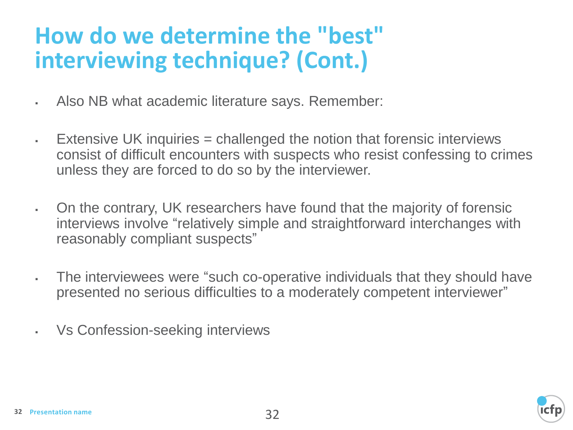## **How do we determine the "best" interviewing technique? (Cont.)**

- Also NB what academic literature says. Remember:
- $\blacksquare$  Extensive UK inquiries = challenged the notion that forensic interviews consist of difficult encounters with suspects who resist confessing to crimes unless they are forced to do so by the interviewer.
- **On the contrary, UK researchers have found that the majority of forensic** interviews involve "relatively simple and straightforward interchanges with reasonably compliant suspects"
- The interviewees were "such co-operative individuals that they should have presented no serious difficulties to a moderately competent interviewer"
- Vs Confession-seeking interviews

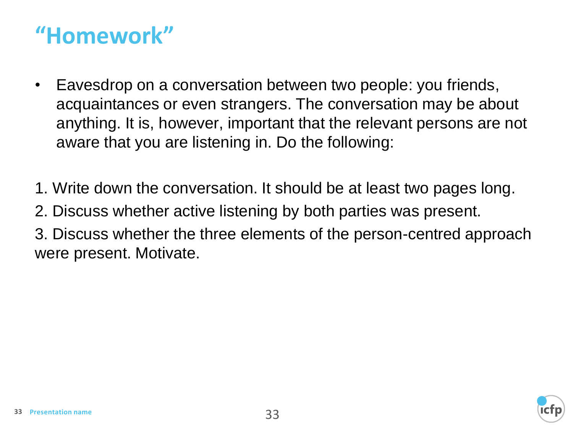## **"Homework"**

- Eavesdrop on a conversation between two people: you friends, acquaintances or even strangers. The conversation may be about anything. It is, however, important that the relevant persons are not aware that you are listening in. Do the following:
- 1. Write down the conversation. It should be at least two pages long.
- 2. Discuss whether active listening by both parties was present.
- 3. Discuss whether the three elements of the person-centred approach were present. Motivate.

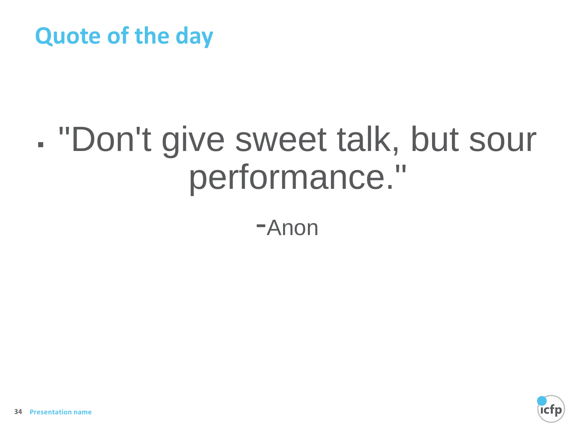#### **Quote of the day**

# ▪ "Don't give sweet talk, but sour performance."

-Anon